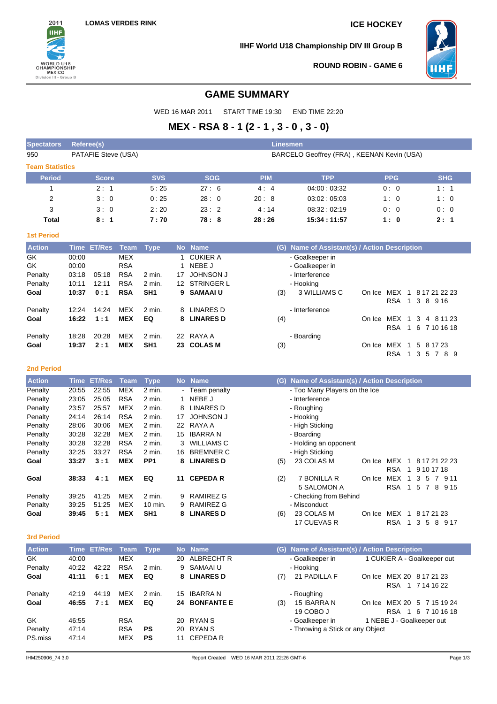

**IIHF World U18 Championship DIV III Group B**



**ROUND ROBIN - GAME 6**

# **GAME SUMMARY**

WED 16 MAR 2011 START TIME 19:30 END TIME 22:20

# **MEX - RSA 8 - 1 (2 - 1 , 3 - 0 , 3 - 0)**

| <b>Spectators</b>      | <b>Referee(s)</b>     |            |            |                                            | Linesmen   |                                           |            |            |  |  |  |  |  |
|------------------------|-----------------------|------------|------------|--------------------------------------------|------------|-------------------------------------------|------------|------------|--|--|--|--|--|
| 950                    | PATAFIE Steve (USA)   |            |            | BARCELO Geoffrey (FRA), KEENAN Kevin (USA) |            |                                           |            |            |  |  |  |  |  |
| <b>Team Statistics</b> |                       |            |            |                                            |            |                                           |            |            |  |  |  |  |  |
| <b>Period</b>          | <b>Score</b>          |            | <b>SVS</b> | <b>SOG</b>                                 | <b>PIM</b> | <b>TPP</b>                                | <b>PPG</b> | <b>SHG</b> |  |  |  |  |  |
|                        | 2:1                   |            | 5:25       | 27:6                                       | 4:4        | 04.00:03.32                               | 0:0        | 1:1        |  |  |  |  |  |
| 2                      | 3:0                   |            | 0:25       | 28:0                                       | 20:8       | 03.02:05.03                               | 1:0        | 1:0        |  |  |  |  |  |
| 3                      | 3:0                   |            | 2:20       | 23:2                                       | 4:14       | 08.32:02.19                               | 0:0        | 0:0        |  |  |  |  |  |
| Total                  | 8:1                   |            | 7:70       | 78:8                                       | 28:26      | 15:34:11:57                               | 1:0        | 2:1        |  |  |  |  |  |
| <b>1st Period</b>      |                       |            |            |                                            |            |                                           |            |            |  |  |  |  |  |
| <b>Action</b>          | Time ET/Res Team Type |            |            | No Name                                    | (G)        | Name of Assistant(s) / Action Description |            |            |  |  |  |  |  |
| GK                     | 00:00                 | <b>MEX</b> |            | <b>CUKIER A</b>                            |            | - Goalkeeper in                           |            |            |  |  |  |  |  |
| GK.                    | 00:00                 | <b>RSA</b> |            | NEBE J                                     |            | - Goalkeeper in                           |            |            |  |  |  |  |  |
| Penalty                | 05:18<br>03:18        | <b>RSA</b> | $2$ min.   | <b>JOHNSON J</b><br>17                     |            | - Interference                            |            |            |  |  |  |  |  |

| Penalty | 03:18 | 05:18 | RSA        | 2 min.          | 17 | JOHNSON J     | - Interference      |        |            |                                       |  |
|---------|-------|-------|------------|-----------------|----|---------------|---------------------|--------|------------|---------------------------------------|--|
| Penalty | 10:11 | 12:11 | <b>RSA</b> | $2$ min.        |    | 12 STRINGER L | - Hooking           |        |            |                                       |  |
| Goal    | 10:37 | 0:1   | <b>RSA</b> | SH <sub>1</sub> |    | 9 SAMAAI U    | 3 WILLIAMS C<br>(3) | On Ice |            | MEX 1 8 17 21 22 23<br>RSA 1 3 8 9 16 |  |
| Penalty | 12:24 | 14:24 | MEX        | 2 min.          |    | 8 LINARES D   | - Interference      |        |            |                                       |  |
| Goal    | 16:22 | 1:1   | <b>MEX</b> | EQ              |    | 8 LINARES D   | (4)                 |        |            | On Ice MEX 1 3 4 8 11 23              |  |
|         |       |       |            |                 |    |               |                     |        |            | RSA 1 6 7 10 16 18                    |  |
| Penalty | 18:28 | 20:28 | MEX        | 2 min.          |    | 22 RAYA A     | - Boarding          |        |            |                                       |  |
| Goal    | 19:37 | 2:1   | <b>MEX</b> | SH <sub>1</sub> |    | 23 COLAS M    | (3)                 |        |            | On Ice MEX 1 5 8 17 23                |  |
|         |       |       |            |                 |    |               |                     |        | <b>RSA</b> | 1 3 5 7 8 9                           |  |

### **2nd Period**

| <b>Action</b> | Time  | <b>ET/Res</b> | <u>l Team </u> | <b>Type</b>     | No l | <b>Name</b>       | Name of Assistant(s) / Action Description<br>(G)             |
|---------------|-------|---------------|----------------|-----------------|------|-------------------|--------------------------------------------------------------|
| Penalty       | 20:55 | 22:55         | <b>MEX</b>     | 2 min.          |      | - Team penalty    | - Too Many Players on the Ice                                |
| Penalty       | 23:05 | 25:05         | <b>RSA</b>     | $2$ min.        |      | NEBE J            | - Interference                                               |
| Penalty       | 23:57 | 25:57         | <b>MEX</b>     | 2 min.          | 8    | LINARES D         | - Roughing                                                   |
| Penalty       | 24:14 | 26:14         | <b>RSA</b>     | 2 min.          | 17   | <b>JOHNSON J</b>  | - Hooking                                                    |
| Penalty       | 28:06 | 30:06         | <b>MEX</b>     | 2 min.          | 22   | RAYA A            | - High Sticking                                              |
| Penalty       | 30.28 | 32:28         | <b>MEX</b>     | 2 min.          | 15   | <b>IBARRA N</b>   | - Boarding                                                   |
| Penalty       | 30.28 | 32:28         | <b>RSA</b>     | 2 min.          |      | <b>WILLIAMS C</b> | - Holding an opponent                                        |
| Penalty       | 32:25 | 33:27         | <b>RSA</b>     | $2$ min.        | 16   | <b>BREMNER C</b>  | - High Sticking                                              |
| Goal          | 33:27 | 3:1           | <b>MEX</b>     | PP <sub>1</sub> | 8    | <b>LINARES D</b>  | 23 COLAS M<br>MEX<br>8 17 21 22 23<br>(5)<br>On Ice<br>1     |
|               |       |               |                |                 |      |                   | <b>RSA</b><br>9 10 17 18<br>1                                |
| Goal          | 38:33 | 4:1           | <b>MEX</b>     | EQ              | 11   | <b>CEPEDAR</b>    | (2)<br>7 BONILLA R<br>On Ice<br>MEX<br>9 1 1<br>3<br>-5      |
|               |       |               |                |                 |      |                   | 5 SALOMON A<br><b>RSA</b><br>-5<br>8<br>9 1 5<br>7<br>1      |
| Penalty       | 39.25 | 41:25         | <b>MEX</b>     | $2$ min.        | 9    | <b>RAMIREZ G</b>  | - Checking from Behind                                       |
| Penalty       | 39.25 | 51:25         | <b>MEX</b>     | 10 min.         | 9    | <b>RAMIREZ G</b>  | - Misconduct                                                 |
| Goal          | 39:45 | 5:1           | <b>MEX</b>     | SH <sub>1</sub> | 8    | <b>LINARES D</b>  | 23 COLAS M<br><b>MEX</b><br>8 17 21 23<br>(6)<br>On Ice<br>1 |
|               |       |               |                |                 |      |                   | 17 CUEVAS R<br><b>RSA</b><br>8<br>9 17<br>5<br>3             |

#### **3rd Period**

| <b>Action</b> |       | <u>'Time</u> ET/Res Team |            | <b>Type</b> |    | No Name       | (G) |                                  | Name of Assistant(s) / Action Description |
|---------------|-------|--------------------------|------------|-------------|----|---------------|-----|----------------------------------|-------------------------------------------|
| GK            | 40:00 |                          | <b>MEX</b> |             | 20 | ALBRECHT R    |     | - Goalkeeper in                  | 1 CUKIER A - Goalkeeper out               |
| Penalty       | 40:22 | 42:22                    | <b>RSA</b> | $2$ min.    |    | 9 SAMAAI U    |     | - Hooking                        |                                           |
| Goal          | 41:11 | 6:1                      | <b>MEX</b> | EQ          |    | 8 LINARES D   | (7) | 21 PADILLA F                     | MEX 20 8 17 21 23<br>On Ice               |
|               |       |                          |            |             |    |               |     |                                  | RSA 1 7 14 16 22                          |
| Penalty       | 42:19 | 44:19                    | <b>MEX</b> | 2 min.      | 15 | IBARRA N      |     | - Roughing                       |                                           |
| Goal          | 46:55 | 7:1                      | <b>MEX</b> | EQ          |    | 24 BONFANTE E | (3) | 15 IBARRA N                      | MEX 20 5 7 15 19 24<br>On Ice             |
|               |       |                          |            |             |    |               |     | 19 COBO J                        | <b>RSA</b><br>1 6 7 10 16 18              |
| GK            | 46:55 |                          | <b>RSA</b> |             |    | 20 RYAN S     |     | - Goalkeeper in                  | 1 NEBE J - Goalkeeper out                 |
| Penalty       | 47:14 |                          | <b>RSA</b> | <b>PS</b>   |    | 20 RYAN S     |     | - Throwing a Stick or any Object |                                           |
| PS.miss       | 47:14 |                          | <b>MEX</b> | <b>PS</b>   | 11 | CEPEDA R      |     |                                  |                                           |
|               |       |                          |            |             |    |               |     |                                  |                                           |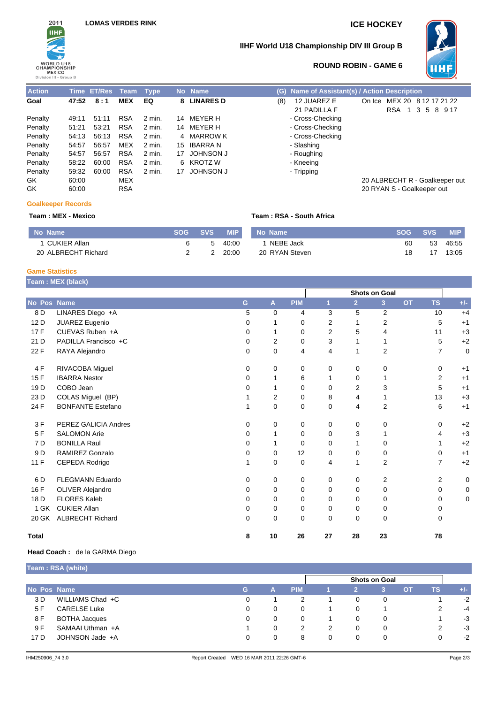

### **IIHF World U18 Championship DIV III Group B**



# **ROUND ROBIN - GAME 6**

| <b>Action</b> |       | Time ET/Res Team |            | <b>Type</b> |    | No Name          | Name of Assistant(s) / Action Description<br>(G)                                                |
|---------------|-------|------------------|------------|-------------|----|------------------|-------------------------------------------------------------------------------------------------|
| Goal          | 47:52 | 8:1              | <b>MEX</b> | EQ          | 8  | <b>LINARES D</b> | 12 JUAREZ E<br>MEX 20 8 12 17 21<br>(8)<br>On Ice<br>21 PADILLA F<br>RSA<br>89<br>-3<br>5<br>-1 |
| Penalty       | 49:11 | 51:11            | <b>RSA</b> | 2 min.      | 14 | MEYER H          | - Cross-Checking                                                                                |
| Penalty       | 51:21 | 53:21            | <b>RSA</b> | 2 min.      | 14 | MEYER H          | - Cross-Checking                                                                                |
| Penalty       | 54:13 | 56:13            | <b>RSA</b> | 2 min.      |    | 4 MARROW K       | - Cross-Checking                                                                                |
| Penalty       | 54:57 | 56:57            | <b>MEX</b> | 2 min.      | 15 | IBARRA N         | - Slashing                                                                                      |
| Penalty       | 54:57 | 56:57            | <b>RSA</b> | 2 min.      | 17 | <b>JOHNSON J</b> | - Roughing                                                                                      |
| Penalty       | 58:22 | 60:00            | <b>RSA</b> | 2 min.      | 6  | KROTZ W          | - Kneeing                                                                                       |
| Penalty       | 59:32 | 60:00            | <b>RSA</b> | 2 min.      | 17 | <b>JOHNSON J</b> | - Tripping                                                                                      |
| GK            | 60:00 |                  | MEX        |             |    |                  | 20 ALBRECHT R - Goalkeep                                                                        |
| GK            | 60:00 |                  | <b>RSA</b> |             |    |                  | 20 RYAN S - Goalkeeper out                                                                      |

# 20 ALBRECHT R - Goalkeeper out

On Ice MEX 20 8 12 17 21 22 RSA 1 3 5 8 9 17

#### **Goalkeeper Records**

### **Team : MEX - Mexico Team : RSA - South Africa**

| No Name             | <b>SOG</b> | <b>SVS</b> | <b>MIP</b> | No Name        | <b>SOG</b> | <b>SVS</b> | <b>MIP</b> |
|---------------------|------------|------------|------------|----------------|------------|------------|------------|
| CUKIER Allan        |            |            | 40:00      | NEBE Jack      | 60         | 53         | 46:55      |
| 20 ALBRECHT Richard |            |            | 20:00      | 20 RYAN Steven |            |            | 13:05      |

#### **Game Statistics**

|                 | Team: MEX (black)        |          |             |            |                |                |                      |           |                |             |
|-----------------|--------------------------|----------|-------------|------------|----------------|----------------|----------------------|-----------|----------------|-------------|
|                 |                          |          |             |            |                |                | <b>Shots on Goal</b> |           |                |             |
| No Pos Name     |                          | G        | A           | <b>PIM</b> | 1              | $\overline{2}$ | 3 <sup>2</sup>       | <b>OT</b> | <b>TS</b>      | $+/-$       |
| 8 D             | LINARES Diego +A         | 5        | $\mathbf 0$ | 4          | 3              | 5              | $\overline{2}$       |           | 10             | $+4$        |
| 12 D            | JUAREZ Eugenio           | 0        |             | 0          | $\overline{2}$ | 1              | 2                    |           | 5              | $+1$        |
| 17F             | CUEVAS Ruben +A          | 0        | 1           | 0          | $\overline{2}$ | 5              | 4                    |           | 11             | $+3$        |
| 21 D            | PADILLA Francisco +C     | 0        | 2           | 0          | 3              | 1              | 1                    |           | 5              | $+2$        |
| 22F             | RAYA Alejandro           | 0        | 0           | 4          | $\overline{4}$ | 1              | 2                    |           | $\overline{7}$ | $\mathbf 0$ |
| 4F              | RIVACOBA Miguel          | 0        | 0           | 0          | 0              | 0              | 0                    |           | 0              | $+1$        |
| 15F             | <b>IBARRA</b> Nestor     | 0        | 1           | 6          | 1              | 0              | 1                    |           | 2              | $+1$        |
| 19 <sub>D</sub> | COBO Jean                | 0        |             | 0          | 0              | 2              | 3                    |           | 5              | $+1$        |
| 23 D            | COLAS Miguel (BP)        |          | 2           | 0          | 8              | 4              | 1                    |           | 13             | $+3$        |
| 24 F            | <b>BONFANTE Estefano</b> |          | 0           | 0          | 0              | 4              | $\overline{2}$       |           | 6              | $+1$        |
| 3F              | PEREZ GALICIA Andres     | 0        | 0           | 0          | 0              | 0              | $\mathbf 0$          |           | 0              | $+2$        |
| 5F              | <b>SALOMON Arie</b>      | 0        | 1           | 0          | $\mathbf 0$    | 3              | 1                    |           | 4              | $+3$        |
| 7 D             | <b>BONILLA Raul</b>      | 0        | 1           | 0          | 0              | 1              | 0                    |           | 1              | $+2$        |
| 9 D             | RAMIREZ Gonzalo          | 0        | 0           | 12         | 0              | 0              | 0                    |           | 0              | $+1$        |
| 11 F            | CEPEDA Rodrigo           | 1        | 0           | 0          | 4              | 1              | $\overline{2}$       |           | $\overline{7}$ | $+2$        |
| 6 D             | <b>FLEGMANN Eduardo</b>  | 0        | 0           | 0          | 0              | 0              | $\boldsymbol{2}$     |           | $\overline{2}$ | 0           |
| 16 F            | <b>OLIVER Alejandro</b>  | 0        | 0           | 0          | 0              | 0              | $\mathbf 0$          |           | 0              | 0           |
| 18 D            | <b>FLORES Kaleb</b>      | 0        | 0           | 0          | 0              | 0              | 0                    |           | 0              | 0           |
| 1 GK            | <b>CUKIER Allan</b>      | 0        | 0           | 0          | 0              | 0              | 0                    |           | 0              |             |
| 20 GK           | <b>ALBRECHT Richard</b>  | $\Omega$ | 0           | 0          | 0              | 0              | $\mathbf 0$          |           | 0              |             |
| <b>Total</b>    |                          | 8        | 10          | 26         | 27             | 28             | 23                   |           | 78             |             |

### **Head Coach :** de la GARMA Diego

| Team: RSA (white) |                      |    |                      |            |   |   |   |           |     |       |  |
|-------------------|----------------------|----|----------------------|------------|---|---|---|-----------|-----|-------|--|
|                   |                      |    | <b>Shots on Goal</b> |            |   |   |   |           |     |       |  |
| No Pos Name       |                      | G. | А                    | <b>PIM</b> |   |   |   | <b>OT</b> | TS. | $+/-$ |  |
| 3 D               | WILLIAMS Chad +C     | 0  |                      | 2          |   | 0 | 0 |           |     | $-2$  |  |
| 5 F               | <b>CARELSE Luke</b>  | 0  | 0                    | 0          |   | 0 |   |           | 2   | $-4$  |  |
| 8 F               | <b>BOTHA Jacques</b> | 0  | 0.                   | 0          |   | 0 | 0 |           |     | $-3$  |  |
| 9 F               | SAMAAI Uthman +A     |    | 0                    | 2          | 2 | 0 | 0 |           | 2   | $-3$  |  |
| 17 D              | JOHNSON Jade +A      | 0  |                      | 8          | 0 | 0 | 0 |           | 0   | $-2$  |  |